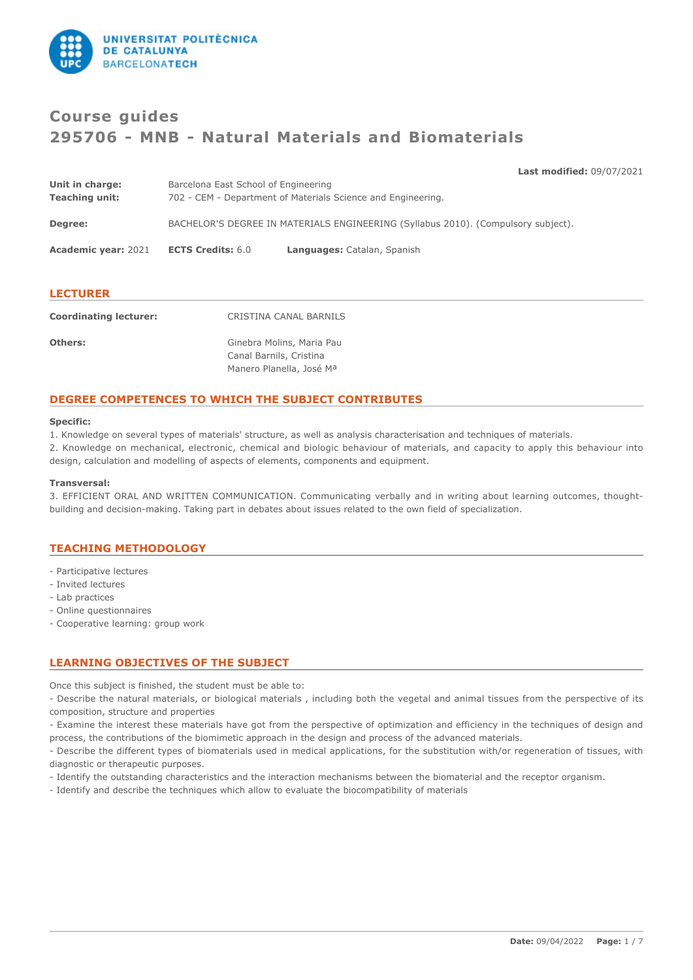

# **Course guides 295706 - MNB - Natural Materials and Biomaterials**

**Last modified:** 09/07/2021

| Unit in charge:            | Barcelona East School of Engineering                                              |                             |  |
|----------------------------|-----------------------------------------------------------------------------------|-----------------------------|--|
| <b>Teaching unit:</b>      | 702 - CEM - Department of Materials Science and Engineering.                      |                             |  |
| Degree:                    | BACHELOR'S DEGREE IN MATERIALS ENGINEERING (Syllabus 2010). (Compulsory subject). |                             |  |
| <b>Academic year: 2021</b> | <b>ECTS Credits: 6.0</b>                                                          | Languages: Catalan, Spanish |  |
|                            |                                                                                   |                             |  |

### **LECTURER**

| <b>Coordinating lecturer:</b> | CRISTINA CANAL BARNILS                               |
|-------------------------------|------------------------------------------------------|
| <b>Others:</b>                | Ginebra Molins, Maria Pau<br>Canal Barnils, Cristina |
|                               | Manero Planella, José Ma                             |

# **DEGREE COMPETENCES TO WHICH THE SUBJECT CONTRIBUTES**

### **Specific:**

1. Knowledge on several types of materials' structure, as well as analysis characterisation and techniques of materials.

2. Knowledge on mechanical, electronic, chemical and biologic behaviour of materials, and capacity to apply this behaviour into design, calculation and modelling of aspects of elements, components and equipment.

### **Transversal:**

3. EFFICIENT ORAL AND WRITTEN COMMUNICATION. Communicating verbally and in writing about learning outcomes, thoughtbuilding and decision-making. Taking part in debates about issues related to the own field of specialization.

# **TEACHING METHODOLOGY**

- Participative lectures
- Invited lectures
- Lab practices
- Online questionnaires
- Cooperative learning: group work

# **LEARNING OBJECTIVES OF THE SUBJECT**

Once this subject is finished, the student must be able to:

- Describe the natural materials, or biological materials , including both the vegetal and animal tissues from the perspective of its composition, structure and properties

- Examine the interest these materials have got from the perspective of optimization and efficiency in the techniques of design and process, the contributions of the biomimetic approach in the design and process of the advanced materials.

- Describe the different types of biomaterials used in medical applications, for the substitution with/or regeneration of tissues, with diagnostic or therapeutic purposes.

- Identify the outstanding characteristics and the interaction mechanisms between the biomaterial and the receptor organism.

- Identify and describe the techniques which allow to evaluate the biocompatibility of materials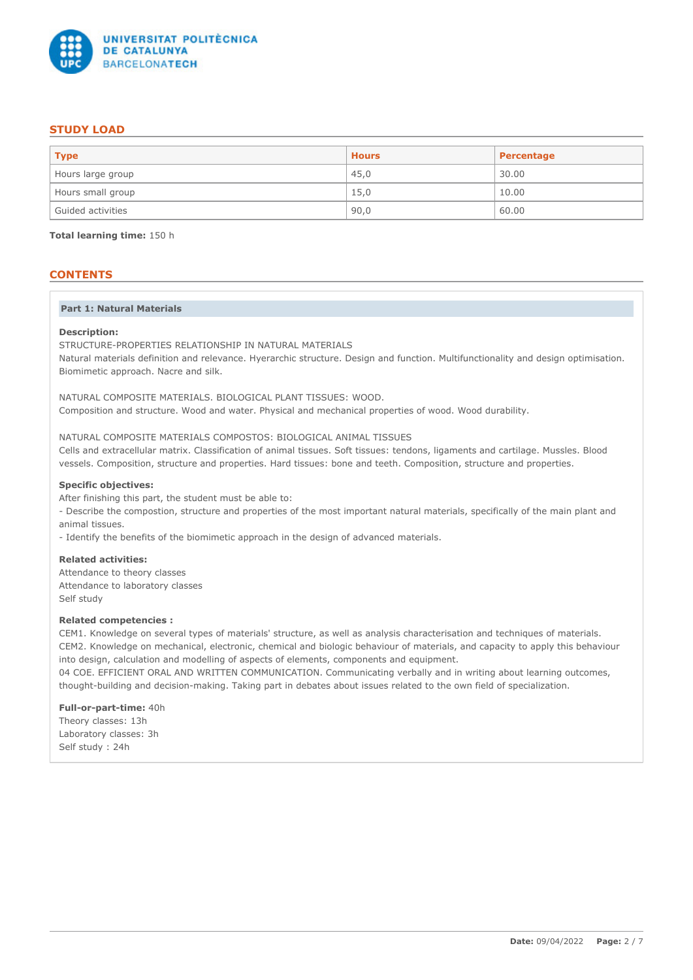

# **STUDY LOAD**

| <b>Type</b>       | <b>Hours</b> | Percentage |
|-------------------|--------------|------------|
| Hours large group | 45,0         | 30.00      |
| Hours small group | 15,0         | 10.00      |
| Guided activities | 90,0         | 60.00      |

**Total learning time:** 150 h

# **CONTENTS**

### **Part 1: Natural Materials**

### **Description:**

STRUCTURE-PROPERTIES RELATIONSHIP IN NATURAL MATERIALS Natural materials definition and relevance. Hyerarchic structure. Design and function. Multifunctionality and design optimisation. Biomimetic approach. Nacre and silk.

NATURAL COMPOSITE MATERIALS. BIOLOGICAL PLANT TISSUES: WOOD. Composition and structure. Wood and water. Physical and mechanical properties of wood. Wood durability.

NATURAL COMPOSITE MATERIALS COMPOSTOS: BIOLOGICAL ANIMAL TISSUES

Cells and extracellular matrix. Classification of animal tissues. Soft tissues: tendons, ligaments and cartilage. Mussles. Blood vessels. Composition, structure and properties. Hard tissues: bone and teeth. Composition, structure and properties.

### **Specific objectives:**

After finishing this part, the student must be able to:

- Describe the compostion, structure and properties of the most important natural materials, specifically of the main plant and animal tissues.

- Identify the benefits of the biomimetic approach in the design of advanced materials.

### **Related activities:**

Attendance to theory classes Attendance to laboratory classes Self study

### **Related competencies :**

CEM1. Knowledge on several types of materials' structure, as well as analysis characterisation and techniques of materials. CEM2. Knowledge on mechanical, electronic, chemical and biologic behaviour of materials, and capacity to apply this behaviour into design, calculation and modelling of aspects of elements, components and equipment. 04 COE. EFFICIENT ORAL AND WRITTEN COMMUNICATION. Communicating verbally and in writing about learning outcomes, thought-building and decision-making. Taking part in debates about issues related to the own field of specialization.

**Full-or-part-time:** 40h

Theory classes: 13h Laboratory classes: 3h Self study : 24h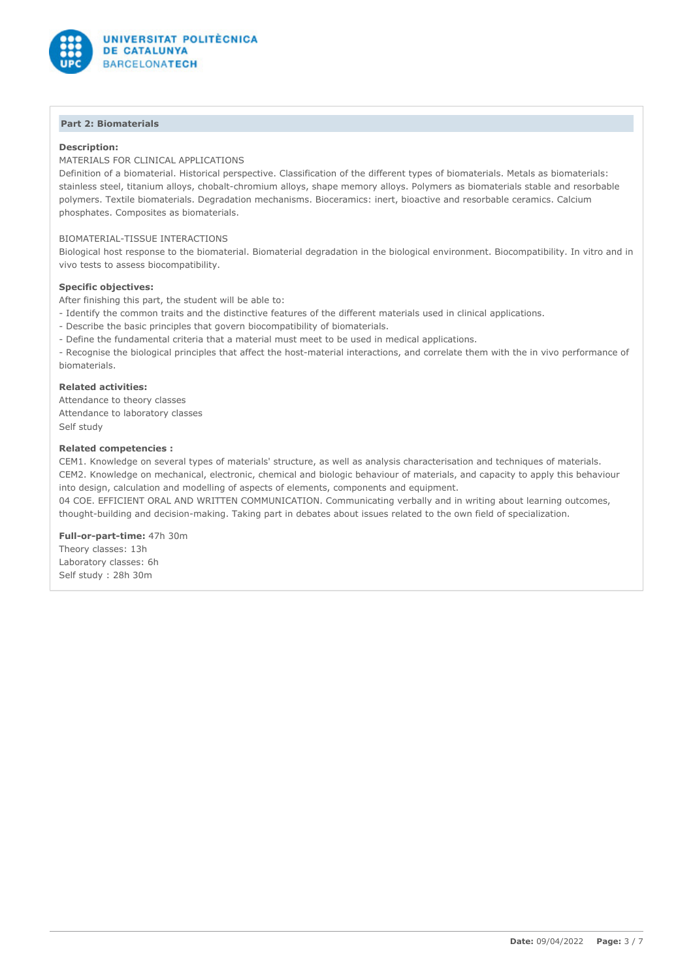

# **Part 2: Biomaterials**

### **Description:**

MATERIALS FOR CLINICAL APPLICATIONS

Definition of a biomaterial. Historical perspective. Classification of the different types of biomaterials. Metals as biomaterials: stainless steel, titanium alloys, chobalt-chromium alloys, shape memory alloys. Polymers as biomaterials stable and resorbable polymers. Textile biomaterials. Degradation mechanisms. Bioceramics: inert, bioactive and resorbable ceramics. Calcium phosphates. Composites as biomaterials.

### BIOMATERIAL-TISSUE INTERACTIONS

Biological host response to the biomaterial. Biomaterial degradation in the biological environment. Biocompatibility. In vitro and in vivo tests to assess biocompatibility.

### **Specific objectives:**

After finishing this part, the student will be able to:

- Identify the common traits and the distinctive features of the different materials used in clinical applications.
- Describe the basic principles that govern biocompatibility of biomaterials.
- Define the fundamental criteria that a material must meet to be used in medical applications.

- Recognise the biological principles that affect the host-material interactions, and correlate them with the in vivo performance of biomaterials.

#### **Related activities:**

Attendance to theory classes Attendance to laboratory classes Self study

### **Related competencies :**

CEM1. Knowledge on several types of materials' structure, as well as analysis characterisation and techniques of materials. CEM2. Knowledge on mechanical, electronic, chemical and biologic behaviour of materials, and capacity to apply this behaviour into design, calculation and modelling of aspects of elements, components and equipment. 04 COE. EFFICIENT ORAL AND WRITTEN COMMUNICATION. Communicating verbally and in writing about learning outcomes,

thought-building and decision-making. Taking part in debates about issues related to the own field of specialization.

**Full-or-part-time:** 47h 30m Theory classes: 13h Laboratory classes: 6h Self study : 28h 30m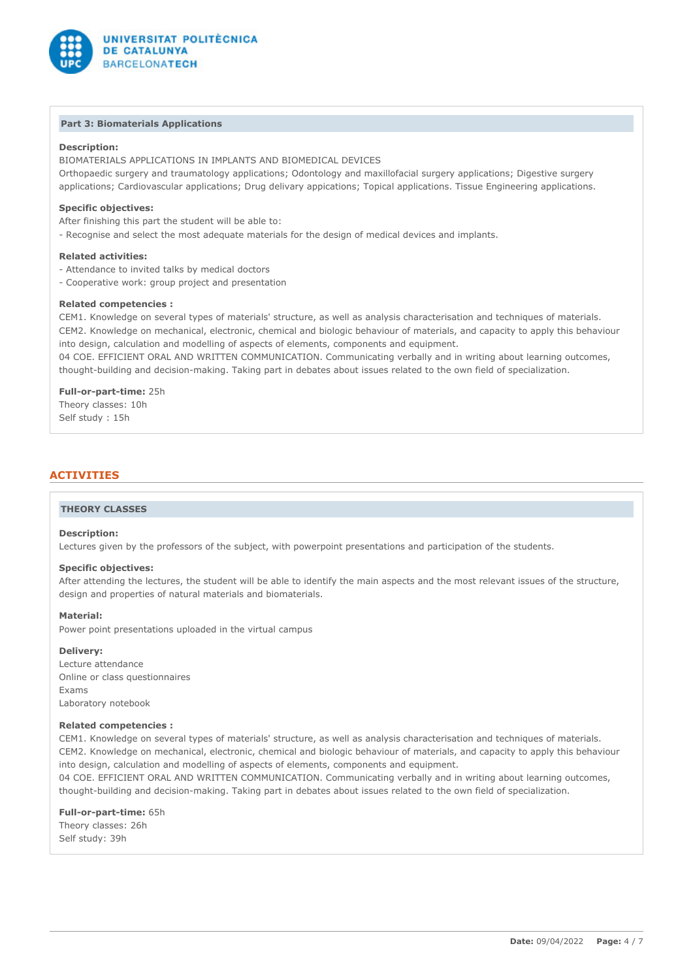

### **Part 3: Biomaterials Applications**

### **Description:**

BIOMATERIALS APPLICATIONS IN IMPLANTS AND BIOMEDICAL DEVICES Orthopaedic surgery and traumatology applications; Odontology and maxillofacial surgery applications; Digestive surgery applications; Cardiovascular applications; Drug delivary appications; Topical applications. Tissue Engineering applications.

### **Specific objectives:**

After finishing this part the student will be able to:

- Recognise and select the most adequate materials for the design of medical devices and implants.

#### **Related activities:**

- Attendance to invited talks by medical doctors
- Cooperative work: group project and presentation

### **Related competencies :**

CEM1. Knowledge on several types of materials' structure, as well as analysis characterisation and techniques of materials. CEM2. Knowledge on mechanical, electronic, chemical and biologic behaviour of materials, and capacity to apply this behaviour into design, calculation and modelling of aspects of elements, components and equipment.

04 COE. EFFICIENT ORAL AND WRITTEN COMMUNICATION. Communicating verbally and in writing about learning outcomes, thought-building and decision-making. Taking part in debates about issues related to the own field of specialization.

### **Full-or-part-time:** 25h

Theory classes: 10h Self study : 15h

# **ACTIVITIES**

#### **THEORY CLASSES**

### **Description:**

Lectures given by the professors of the subject, with powerpoint presentations and participation of the students.

#### **Specific objectives:**

After attending the lectures, the student will be able to identify the main aspects and the most relevant issues of the structure, design and properties of natural materials and biomaterials.

### **Material:**

Power point presentations uploaded in the virtual campus

# **Delivery:**

Lecture attendance Online or class questionnaires Exams Laboratory notebook

### **Related competencies :**

CEM1. Knowledge on several types of materials' structure, as well as analysis characterisation and techniques of materials. CEM2. Knowledge on mechanical, electronic, chemical and biologic behaviour of materials, and capacity to apply this behaviour into design, calculation and modelling of aspects of elements, components and equipment.

04 COE. EFFICIENT ORAL AND WRITTEN COMMUNICATION. Communicating verbally and in writing about learning outcomes, thought-building and decision-making. Taking part in debates about issues related to the own field of specialization.

**Full-or-part-time:** 65h Theory classes: 26h Self study: 39h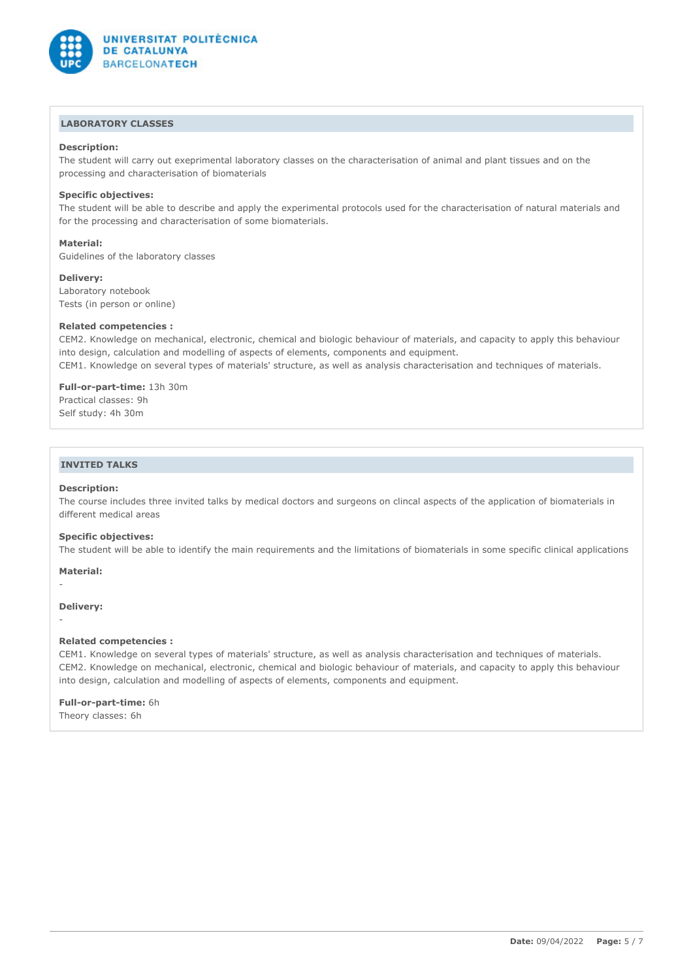

# **LABORATORY CLASSES**

### **Description:**

The student will carry out exeprimental laboratory classes on the characterisation of animal and plant tissues and on the processing and characterisation of biomaterials

### **Specific objectives:**

The student will be able to describe and apply the experimental protocols used for the characterisation of natural materials and for the processing and characterisation of some biomaterials.

#### **Material:**

Guidelines of the laboratory classes

#### **Delivery:**

Laboratory notebook Tests (in person or online)

### **Related competencies :**

CEM2. Knowledge on mechanical, electronic, chemical and biologic behaviour of materials, and capacity to apply this behaviour into design, calculation and modelling of aspects of elements, components and equipment. CEM1. Knowledge on several types of materials' structure, as well as analysis characterisation and techniques of materials.

### **Full-or-part-time:** 13h 30m Practical classes: 9h

Self study: 4h 30m

# **INVITED TALKS**

### **Description:**

The course includes three invited talks by medical doctors and surgeons on clincal aspects of the application of biomaterials in different medical areas

### **Specific objectives:**

The student will be able to identify the main requirements and the limitations of biomaterials in some specific clinical applications

### **Material:**

#### **Delivery:**

-

-

### **Related competencies :**

CEM1. Knowledge on several types of materials' structure, as well as analysis characterisation and techniques of materials. CEM2. Knowledge on mechanical, electronic, chemical and biologic behaviour of materials, and capacity to apply this behaviour into design, calculation and modelling of aspects of elements, components and equipment.

### **Full-or-part-time:** 6h

Theory classes: 6h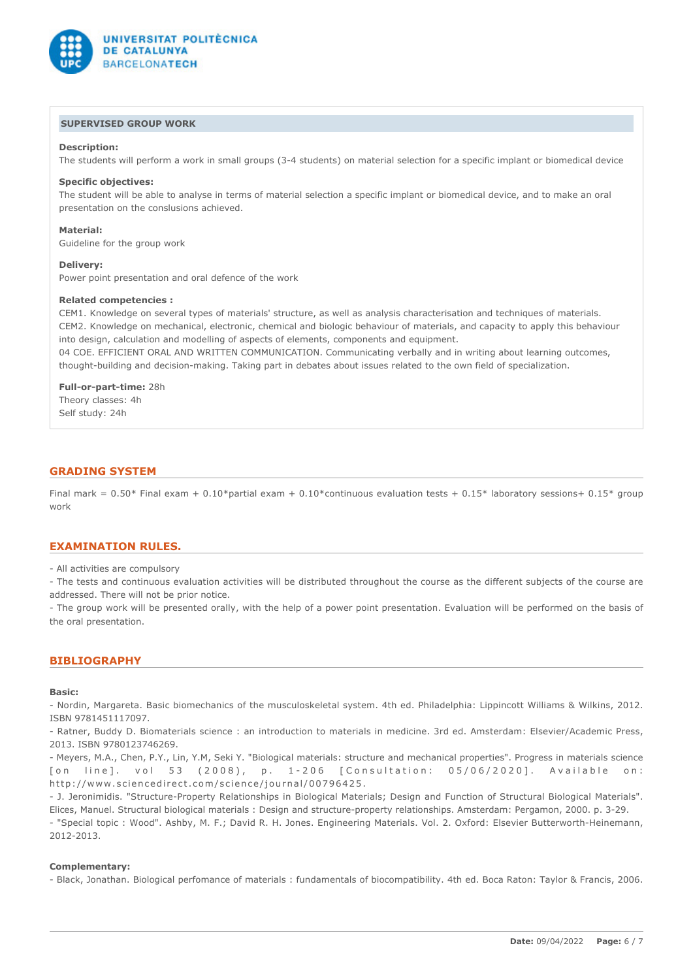

# **SUPERVISED GROUP WORK**

### **Description:**

The students will perform a work in small groups (3-4 students) on material selection for a specific implant or biomedical device

#### **Specific objectives:**

The student will be able to analyse in terms of material selection a specific implant or biomedical device, and to make an oral presentation on the conslusions achieved.

#### **Material:**

Guideline for the group work

#### **Delivery:**

Power point presentation and oral defence of the work

### **Related competencies :**

CEM1. Knowledge on several types of materials' structure, as well as analysis characterisation and techniques of materials. CEM2. Knowledge on mechanical, electronic, chemical and biologic behaviour of materials, and capacity to apply this behaviour into design, calculation and modelling of aspects of elements, components and equipment.

04 COE. EFFICIENT ORAL AND WRITTEN COMMUNICATION. Communicating verbally and in writing about learning outcomes, thought-building and decision-making. Taking part in debates about issues related to the own field of specialization.

**Full-or-part-time:** 28h Theory classes: 4h Self study: 24h

### **GRADING SYSTEM**

Final mark =  $0.50*$  Final exam +  $0.10*$ partial exam +  $0.10*$ continuous evaluation tests +  $0.15*$  laboratory sessions+  $0.15*$  group work

#### **EXAMINATION RULES.**

- All activities are compulsory

- The tests and continuous evaluation activities will be distributed throughout the course as the different subjects of the course are addressed. There will not be prior notice.

- The group work will be presented orally, with the help of a power point presentation. Evaluation will be performed on the basis of the oral presentation.

### **BIBLIOGRAPHY**

### **Basic:**

- Nordin, Margareta. Basic biomechanics of the musculoskeletal system. 4th ed. Philadelphia: Lippincott Williams & Wilkins, 2012. ISBN 9781451117097.

- Ratner, Buddy D. Biomaterials science : an introduction to materials in medicine. 3rd ed. Amsterdam: Elsevier/Academic Press, 2013. ISBN 9780123746269.

- Meyers, M.A., Chen, P.Y., Lin, Y.M, Seki Y. "Biological materials: structure and mechanical properties". Progress in materials science [on line]. vol 53 (2008), p. 1-206 [Consultation: 05/06/2020]. Available on: http://www.sciencedirect.com/science/journal/00796425.

- J. Jeronimidis. "Structure-Property Relationships in Biological Materials; Design and Function of Structural Biological Materials". Elices, Manuel. Structural biological materials : Design and structure-property relationships. Amsterdam: Pergamon, 2000. p. 3-29. - "Special topic : Wood". Ashby, M. F.; David R. H. Jones. Engineering Materials. Vol. 2. Oxford: Elsevier Butterworth-Heinemann, 2012-2013.

#### **Complementary:**

- Black, Jonathan. Biological perfomance of materials : fundamentals of biocompatibility. 4th ed. Boca Raton: Taylor & Francis, 2006.